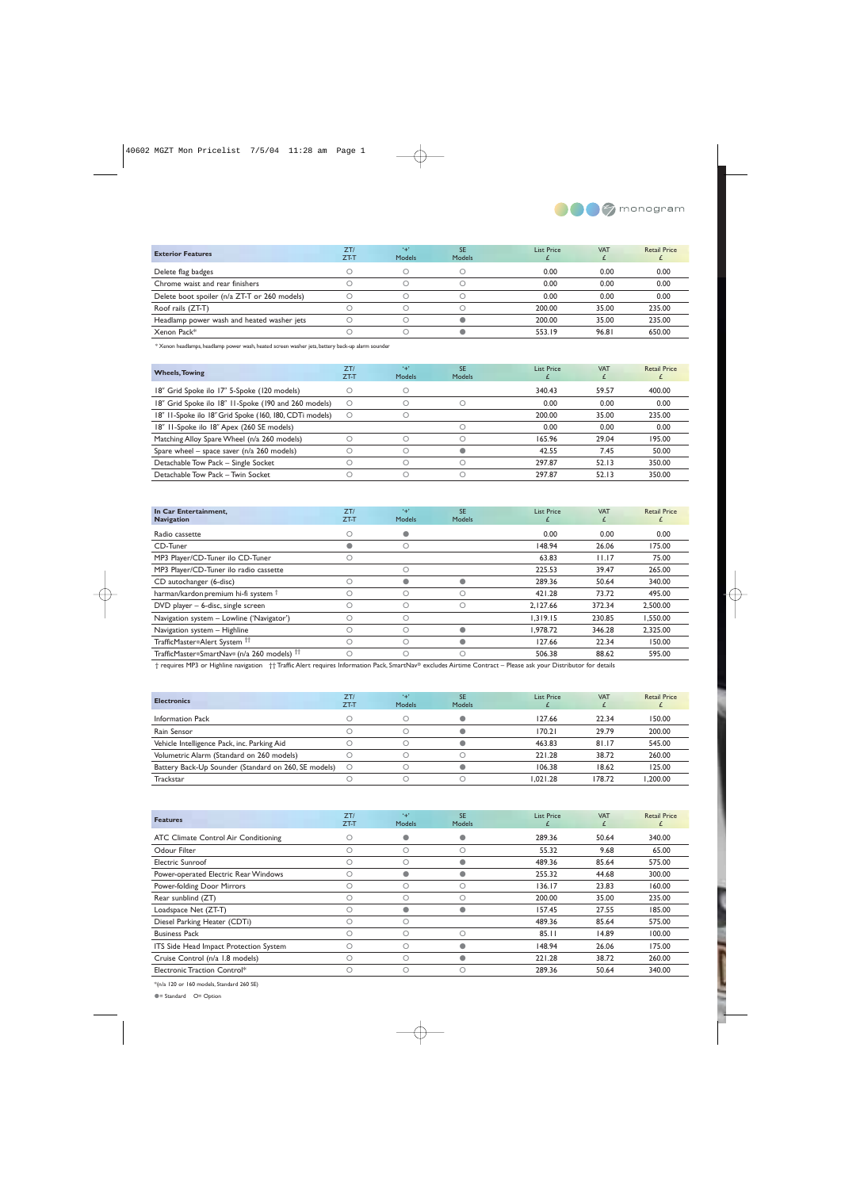

| <b>Exterior Features</b>                     | ZT/<br>$ZT-T$ | $+$<br>Models | <b>SE</b><br><b>Models</b> | List Price | <b>VAT</b> | <b>Retail Price</b> |
|----------------------------------------------|---------------|---------------|----------------------------|------------|------------|---------------------|
| Delete flag badges                           |               |               |                            | 0.00       | 0.00       | 0.00                |
| Chrome waist and rear finishers              |               |               |                            | 0.00       | 0.00       | 0.00                |
| Delete boot spoiler (n/a ZT-T or 260 models) |               |               |                            | 0.00       | 0.00       | 0.00                |
| Roof rails (ZT-T)                            |               |               |                            | 200.00     | 35.00      | 235.00              |
| Headlamp power wash and heated washer jets   |               |               |                            | 200.00     | 35.00      | 235.00              |
| Xenon Pack*                                  |               |               |                            | 553.19     | 96.81      | 650.00              |

\* Xenon headlamps, headlamp power wash, heated screen washer jets, battery back-up alarm sounder

| <b>Wheels, Towing</b>                                   | ZT/<br>ZT-T | $+1$<br>Models | <b>SE</b><br><b>Models</b> | <b>List Price</b> | <b>VAT</b> | <b>Retail Price</b> |
|---------------------------------------------------------|-------------|----------------|----------------------------|-------------------|------------|---------------------|
| 18" Grid Spoke ilo 17" 5-Spoke (120 models)             |             |                |                            | 340.43            | 59.57      | 400.00              |
| 18" Grid Spoke ilo 18" 11-Spoke (190 and 260 models)    | Ω           |                |                            | 0.00              | 0.00       | 0.00                |
| 18" II-Spoke ilo 18" Grid Spoke (160, 180, CDTi models) | O           |                |                            | 200.00            | 35.00      | 235.00              |
| 18" II-Spoke ilo 18" Apex (260 SE models)               |             |                |                            | 0.00              | 0.00       | 0.00                |
| Matching Alloy Spare Wheel (n/a 260 models)             |             |                |                            | 165.96            | 29.04      | 195.00              |
| Spare wheel – space saver ( $n/a$ 260 models)           |             |                |                            | 42.55             | 7.45       | 50.00               |
| Detachable Tow Pack - Single Socket                     |             |                |                            | 297.87            | 52.13      | 350.00              |
| Detachable Tow Pack - Twin Socket                       |             |                |                            | 297.87            | 52.13      | 350.00              |

| In Car Entertainment,<br><b>Navigation</b>             | ZT/<br>$ZT-T$ | $+1$<br><b>Models</b> | <b>SE</b><br><b>Models</b> | <b>List Price</b> | <b>VAT</b><br>t. | <b>Retail Price</b> |
|--------------------------------------------------------|---------------|-----------------------|----------------------------|-------------------|------------------|---------------------|
| Radio cassette                                         | О             | $\bullet$             |                            | 0.00              | 0.00             | 0.00                |
| CD-Tuner                                               | 0             | $\circ$               |                            | 148.94            | 26.06            | 175.00              |
| MP3 Player/CD-Tuner ilo CD-Tuner                       |               |                       |                            | 63.83             | 11.17            | 75.00               |
| MP3 Player/CD-Tuner ilo radio cassette                 |               | $\bigcirc$            |                            | 225.53            | 39.47            | 265.00              |
| CD autochanger (6-disc)                                | O             | $\bullet$             |                            | 289.36            | 50.64            | 340.00              |
| harman/kardon premium hi-fi system <sup>†</sup>        | О             | $\circ$               | О                          | 421.28            | 73.72            | 495.00              |
| $DVD$ player $-6$ -disc, single screen                 | Ω             | $\circ$               | О                          | 2.127.66          | 372.34           | 2.500.00            |
| Navigation system - Lowline ('Navigator')              | O             | $\bigcirc$            |                            | 1.319.15          | 230.85           | 1.550.00            |
| Navigation system - Highline                           | O             | $\bigcirc$            |                            | 1.978.72          | 346.28           | 2,325.00            |
| TrafficMaster®Alert System <sup>††</sup>               | О             | $\circ$               |                            | 127.66            | 22.34            | 150.00              |
| TrafficMaster®SmartNav® (n/a 260 models) <sup>††</sup> | O             |                       | О                          | 506.38            | 88.62            | 595.00              |

† requires MP3 or Highline navigation †† Traffic Alert requires Information Pack, SmartNav® excludes Airtime Contract – Please ask your Distributor for details

| <b>Electronics</b>                                   | ZT/<br>ZT-T | $+$<br>Models | <b>SE</b><br>Models | <b>List Price</b> | <b>VAT</b> | <b>Retail Price</b> |
|------------------------------------------------------|-------------|---------------|---------------------|-------------------|------------|---------------------|
| Information Pack                                     |             |               |                     | 127.66            | 22.34      | 150.00              |
| Rain Sensor                                          |             |               |                     | 170.21            | 29.79      | 200.00              |
| Vehicle Intelligence Pack, inc. Parking Aid          |             |               |                     | 463.83            | 81.17      | 545.00              |
| Volumetric Alarm (Standard on 260 models)            |             |               |                     | 221.28            | 38.72      | 260.00              |
| Battery Back-Up Sounder (Standard on 260, SE models) | $\circ$     |               |                     | 106.38            | 18.62      | 125.00              |
| Trackstar                                            |             |               |                     | 1.021.28          | 178.72     | .200.00             |

| <b>Features</b>                        | ZT/<br>$ZT-T$ | $+1$<br><b>Models</b> | <b>SE</b><br><b>Models</b> | <b>List Price</b> | <b>VAT</b><br>£ | <b>Retail Price</b><br>£ |
|----------------------------------------|---------------|-----------------------|----------------------------|-------------------|-----------------|--------------------------|
| ATC Climate Control Air Conditioning   | О             | $\bullet$             |                            | 289.36            | 50.64           | 340.00                   |
| Odour Filter                           | О             | O                     | О                          | 55.32             | 9.68            | 65.00                    |
| <b>Electric Sunroof</b>                | 0             |                       |                            | 489.36            | 85.64           | 575.00                   |
| Power-operated Electric Rear Windows   | Ω             | $\bullet$             |                            | 255.32            | 44.68           | 300.00                   |
| Power-folding Door Mirrors             | О             | O                     | О                          | 136.17            | 23.83           | 160.00                   |
| Rear sunblind (ZT)                     | O             |                       | Ω                          | 200.00            | 35.00           | 235.00                   |
| Loadspace Net (ZT-T)                   | Ω             | $\bullet$             |                            | 157.45            | 27.55           | 185.00                   |
| Diesel Parking Heater (CDTi)           | Ω             |                       |                            | 489.36            | 85.64           | 575.00                   |
| <b>Business Pack</b>                   | Ω             |                       | Ω                          | 85.11             | 14.89           | 100.00                   |
| ITS Side Head Impact Protection System | О             | $\circ$               |                            | 148.94            | 26.06           | 175.00                   |
| Cruise Control (n/a 1.8 models)        | Ω             |                       |                            | 221.28            | 38.72           | 260.00                   |
| Electronic Traction Control*           | Ω             |                       | Ω                          | 289.36            | 50.64           | 340.00                   |

\*(n/a 120 or 160 models, Standard 260 SE)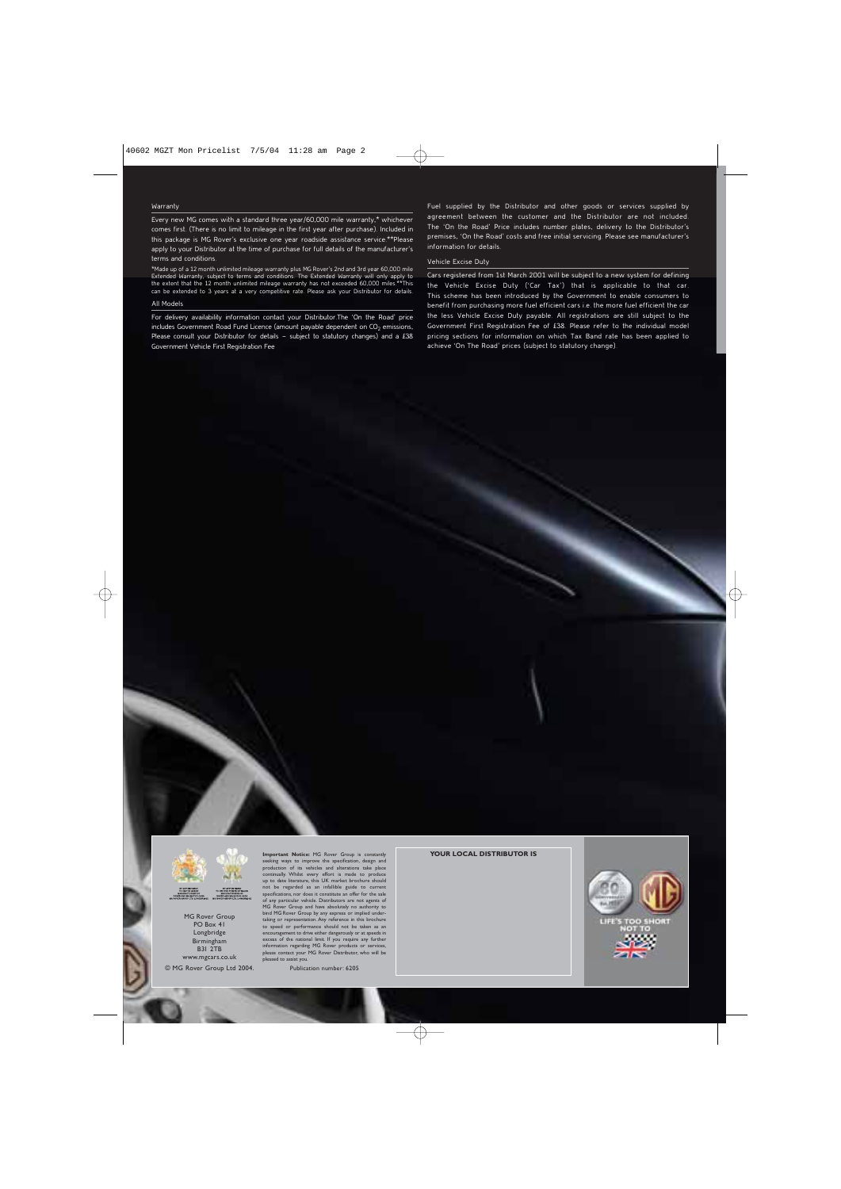Every new MG comes with a standard three year/60,000 mile warranty,\* whichever comes first. (There is no limit to mileage in the first year after purchase). Included in this package is MG Rover's exclusive one year roadside assistance service.\*\*Please apply to your Distributor at the time of purchase for full details of the manufacturer's terms and conditions.

\*Made up of a 12 month unlimited mileage warranty plus MG Rover's 2nd and 3rd year 60,000 mile<br>Extended Warranty, subject to terms and conditions. The Extended Warranty will only apply to<br>the extent that the 12 month unlim All Models

For delivery availability information contact your Distributor.The 'On the Road' price includes Government Road Fund Licence (amount payable dependent on  $CO<sub>2</sub>$  emissions, Please consult your Distributor for details – subject to statutory changes) and a £38 Government Vehicle First Registration Fee

Fuel supplied by the Distributor and other goods or services supplied by agreement between the customer and the Distributor are not included. The 'On the Road' Price includes number plates, delivery to the Distributor's premises, 'On the Road' costs and free initial servicing. Please see manufacturer's information for details.

#### Vehicle Excise Duty

Warranty<br>
Every new MG comes with a slandard three year/60,000 mile warranty, "whicheve the compiled by the Distributor and other goods or services supplied by<br>
Every new MG comes with a slandard three year/60,000 mile war Cars registered from 1st March 2001 will be subject to a new system for defining the Vehicle Excise Duty ('Car Tax') that is applicable to that car. This scheme has been introduced by the Government to enable consumers to benefit from purchasing more fuel efficient cars i.e. the more fuel efficient the car the less Vehicle Excise Duty payable. All registrations are still subject to the Government First Registration Fee of £38. Please refer to the individual model pricing sections for information on which Tax Band rate has been applied to achieve 'On The Road' prices (subject to statutory change).



MG Rover Group PO Box 41 Longbridge Birmingham B31 2TB www.mgcars.co.uk

© MG Rover Group Ltd 2004.

**Important Notice:** MG Rover Group is constantly seeking ways to improve the specification, design and production of its vehicles and alterations take place continually. Whilst every effort is made to produce up to date literature, this UK market brochure should not be regarded as an infallible guide to current specifications, nor does it constitute an offer for the sale of any particular vehicle. Distributors are not agents of MG Rover Group and have absolutely no authority to bind MG Rover Group by any express or implied under-taking or representation. Any reference in this brochure to speed or performance should not be taken as an<br>encouragement to drive either dangerously or at speeds in<br>excess of the national limit. If you require any further<br>information regarding MG Rover products or services,<br>plea pleased to assist

Publication number: 6205

**YOUR LOCAL DISTRIBUTOR IS**

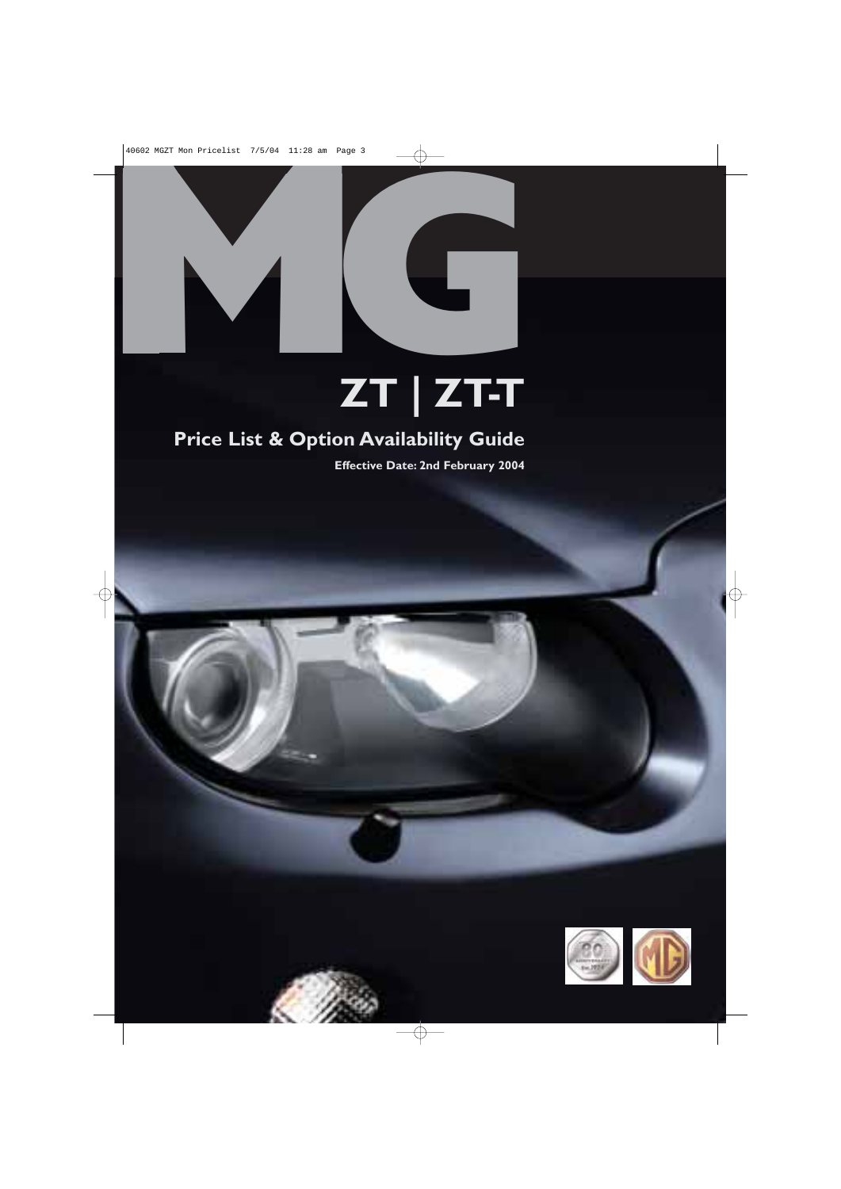

# **ZT | ZT-T**

## **Price List & Option Availability Guide**

**Effective Date: 2nd February 2004**

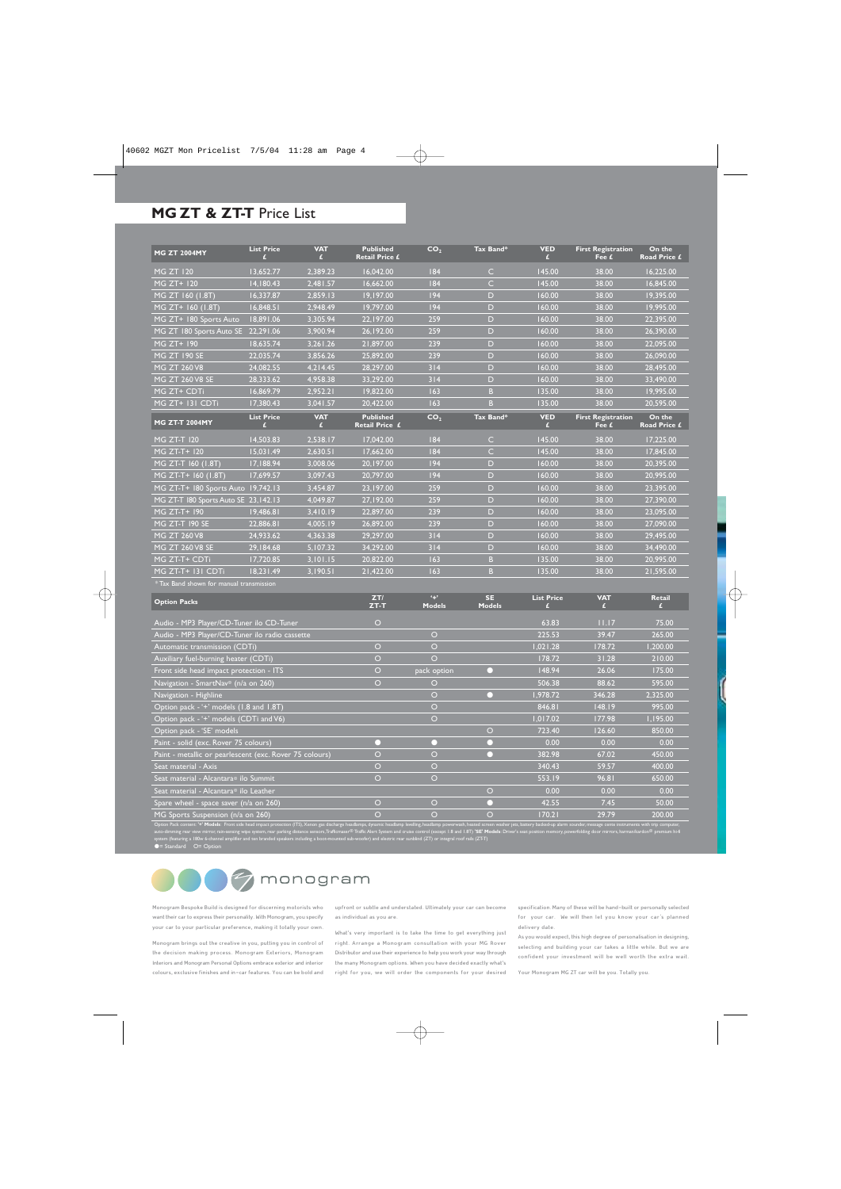#### **MG ZT & ZT-T** Price List

| <b>MG ZT 2004MY</b>                   | <b>List Price</b> | <b>VAT</b><br>£ | <b>Published</b><br>Retail Price £ | CO <sub>2</sub> | Tax Band*      | <b>VED</b><br>£ | <b>First Registration</b><br>Fee £ | On the<br>Road Price £ |
|---------------------------------------|-------------------|-----------------|------------------------------------|-----------------|----------------|-----------------|------------------------------------|------------------------|
| <b>MG ZT 120</b>                      | 13.652.77         | 2.389.23        | 16.042.00                          | 84              | $\mathsf{C}$   | 145.00          | 38.00                              | 16.225.00              |
| MG ZT+ 120                            | 14,180.43         | 2.481.57        | 16,662.00                          | 184             | $\overline{C}$ | 145.00          | 38.00                              | 16.845.00              |
| MG ZT 160 (1.8T)                      | 16.337.87         | 2.859.13        | 19.197.00                          | 194             | D              | 160.00          | 38.00                              | 19,395.00              |
| MG ZT+ 160 (1.8T)                     | 16,848.5          | 2,948.49        | 19,797.00                          | 194             | D              | 160.00          | 38.00                              | 19,995.00              |
| MG ZT+ 180 Sports Auto                | 18,891.06         | 3,305.94        | 22,197.00                          | 259             | D              | 160.00          | 38.00                              | 22,395.00              |
| MG ZT 180 Sports Auto SE              | 22,291.06         | 3,900.94        | 26,192.00                          | 259             | D              | 160.00          | 38.00                              | 26,390.00              |
| MG ZT+ 190                            | 18,635.74         | 3,261.26        | 21,897.00                          | 239             | D              | 160.00          | 38.00                              | 22,095.00              |
| <b>MG ZT 190 SE</b>                   | 22.035.74         | 3,856.26        | 25,892.00                          | 239             | D              | 160.00          | 38.00                              | 26,090.00              |
| <b>MG ZT 260 V8</b>                   | 24,082.55         | 4,214.45        | 28,297.00                          | 314             | D              | 160.00          | 38.00                              | 28,495.00              |
| MG ZT 260 V8 SE                       | 28,333.62         | 4,958.38        | 33,292.00                          | 314             | D              | 160.00          | 38.00                              | 33,490.00              |
| MG ZT+ CDTi                           | 16.869.79         | 2.952.21        | 19,822.00                          | 163             | B              | 135.00          | 38.00                              | 19.995.00              |
| MG ZT+ 131 CDTi                       | 17,380.43         | 3.041.57        | 20.422.00                          | 163             | B.             | 135.00          | 38.00                              | 20,595.00              |
|                                       |                   |                 |                                    |                 |                |                 |                                    |                        |
| <b>MG ZT-T 2004MY</b>                 | <b>List Price</b> | <b>VAT</b><br>£ | <b>Published</b><br>Retail Price £ | CO <sub>2</sub> | Tax Band*      | <b>VED</b><br>£ | <b>First Registration</b><br>Fee £ | On the<br>Road Price £ |
| MG ZT-T 120                           | 14,503.83         | 2,538.17        | 17,042.00                          | 184             | $\mathsf{C}$   | 145.00          | 38.00                              | 17,225.00              |
| MG ZT-T+ 120                          | 15,031.49         | 2,630.5         | 17,662.00                          | 84              | $\subset$      | 145.00          | 38.00                              | 17,845.00              |
| MG ZT-T 160 (1.8T)                    | 17.188.94         | 3.008.06        | 20.197.00                          | 194             | D              | 160.00          | 38.00                              | 20.395.00              |
| MG ZT-T+ 160 (1.8T)                   | 17,699.57         | 3,097.43        | 20,797.00                          | 194             | D              | 160.00          | 38.00                              | 20,995.00              |
| MG ZT-T+ 180 Sports Auto 19,742.13    |                   | 3.454.87        | 23,197.00                          | 259             | D              | 160.00          | 38.00                              | 23,395.00              |
| MG ZT-T 180 Sports Auto SE 23, 142.13 |                   | 4.049.87        | 27.192.00                          | 259             | D              | 160.00          | 38.00                              | 27.390.00              |
| MG ZT-T+ 190                          | 19,486.81         | 3,410.19        | 22.897.00                          | 239             | D              | 160.00          | 38.00                              | 23,095.00              |
| <b>MG ZT-T 190 SE</b>                 | 22,886.81         | 4,005.19        | 26,892.00                          | 239             | D              | 160.00          | 38.00                              | 27,090.00              |
| MG ZT 260 V8                          | 24,933.62         | 4,363.38        | 29,297.00                          | 314             | D              | 160.00          | 38.00                              | 29,495.00              |
| MG ZT 260 V8 SE                       | 29,184.68         | 5,107.32        | 34,292.00                          | 314             | D              | 160.00          | 38.00                              | 34,490.00              |
| MG ZT-T+ CDTi                         | 17,720.85         | 3,101.15        | 20,822.00                          | 163             | B.             | 135.00          | 38.00                              | 20,995.00              |

 $*$  Tax Band shown for manual transmissic

| <b>Option Packs</b>                                                                                                                                                                                                                                                                                                                                                                                                                                                                                                                                                                                                                          | ZTI<br>$ZT-T$  | $4 +$<br><b>Models</b> | <b>SE</b><br><b>Models</b> | <b>List Price</b> | <b>VAT</b> | <b>Retail</b> |
|----------------------------------------------------------------------------------------------------------------------------------------------------------------------------------------------------------------------------------------------------------------------------------------------------------------------------------------------------------------------------------------------------------------------------------------------------------------------------------------------------------------------------------------------------------------------------------------------------------------------------------------------|----------------|------------------------|----------------------------|-------------------|------------|---------------|
| Audio - MP3 Player/CD-Tuner ilo CD-Tuner                                                                                                                                                                                                                                                                                                                                                                                                                                                                                                                                                                                                     | $\circ$        |                        |                            | 63.83             | 11.17      | 75.00         |
| Audio - MP3 Player/CD-Tuner ilo radio cassette                                                                                                                                                                                                                                                                                                                                                                                                                                                                                                                                                                                               |                | $\circ$                |                            | 225.53            | 39.47      | 265.00        |
| Automatic transmission (CDTi)                                                                                                                                                                                                                                                                                                                                                                                                                                                                                                                                                                                                                | $\circ$        | $\Omega$               |                            | 1,021.28          | 178.72     | 1,200.00      |
| Auxiliary fuel-burning heater (CDTi)                                                                                                                                                                                                                                                                                                                                                                                                                                                                                                                                                                                                         | $\circ$        | $\circ$                |                            | 178.72            | 31.28      | 210.00        |
| Front side head impact protection - ITS                                                                                                                                                                                                                                                                                                                                                                                                                                                                                                                                                                                                      | O              | pack option            |                            | 148.94            | 26.06      | 175.00        |
| Navigation - SmartNav <sup>®</sup> (n/a on 260)                                                                                                                                                                                                                                                                                                                                                                                                                                                                                                                                                                                              | $\Omega$       | O                      |                            | 506.38            | 88.62      | 595.00        |
| Navigation - Highline                                                                                                                                                                                                                                                                                                                                                                                                                                                                                                                                                                                                                        |                | O                      |                            | 1,978.72          | 346.28     | 2,325.00      |
| Option pack - '+' models (1.8 and 1.8T)                                                                                                                                                                                                                                                                                                                                                                                                                                                                                                                                                                                                      |                | $\Omega$               |                            | 846.81            | 148.19     | 995.00        |
| Option pack - '+' models (CDTi and V6)                                                                                                                                                                                                                                                                                                                                                                                                                                                                                                                                                                                                       |                | $\circ$                |                            | 1.017.02          | 177.98     | 1,195.00      |
| Option pack - 'SE' models                                                                                                                                                                                                                                                                                                                                                                                                                                                                                                                                                                                                                    |                |                        | $\circ$                    | 723.40            | 126.60     | 850.00        |
| Paint - solid (exc. Rover 75 colours)                                                                                                                                                                                                                                                                                                                                                                                                                                                                                                                                                                                                        |                |                        |                            | 0.00              | 0.00       | 0.00          |
| Paint - metallic or pearlescent (exc. Rover 75 colours)                                                                                                                                                                                                                                                                                                                                                                                                                                                                                                                                                                                      | $\circ$        | $\circ$                |                            | 382.98            | 67.02      | 450.00        |
| Seat material - Axis                                                                                                                                                                                                                                                                                                                                                                                                                                                                                                                                                                                                                         | $\Omega$       | $\Omega$               |                            | 340.43            | 59.57      | 400.00        |
| Seat material - Alcantara <sup>®</sup> ilo Summit                                                                                                                                                                                                                                                                                                                                                                                                                                                                                                                                                                                            | $\overline{O}$ | $\circ$                |                            | 553.19            | 96.81      | 650.00        |
| Seat material - Alcantara <sup>®</sup> ilo Leather                                                                                                                                                                                                                                                                                                                                                                                                                                                                                                                                                                                           |                |                        | $\circ$                    | 0.00              | 0.00       | 0.00          |
| Spare wheel - space saver (n/a on 260)                                                                                                                                                                                                                                                                                                                                                                                                                                                                                                                                                                                                       | $\Omega$       | $\Omega$               |                            | 42.55             | 7.45       | 50.00         |
| MG Sports Suspension (n/a on 260)                                                                                                                                                                                                                                                                                                                                                                                                                                                                                                                                                                                                            | $\bigcirc$     | $\bigcirc$             | O                          | 170.21            | 29.79      | 200.00        |
| Option Pack content: '+' Models: Front side head impact protection (ITS), Xenon gas discharge headlamps, dynamic headlamp levelling, headlamp powerwash, heated screen washer jets, battery backed-up alarm sounder, message c<br>auto-dimming rear view mirror, rain-sensing wipe system, rear parking distance sensors, Trafficmaser® Traffic Alert System and cruise control (except 1.8 and 1.8T) 'SE' Models: Driver's seat position memory, powerfolding d<br>system (featuring a 180w 6-channel amplifier and ten branded speakers including a boot-mounted sub-woofer) and electric rear sunblind (ZT) or integral roof rails (ZT-T) |                |                        |                            |                   |            |               |

● Standard O = Option



Monogram Bespoke Build is designed for discerning motorists who want their car to express their personality. With Monogram, you specify your car to your particular preference, making it totally your own.

Monogram brings out the creative in you, putting you in control of the decision making process. Monogram Exteriors, Monogram Interiors and Monogram Personal Options embrace exterior and interior colours, exclusive finishes and in-car features. You can be bold and upfront or subtle and understated. Ultimately your car can become as individual as you are.

What's very important is to take the time to get everything just right. Arrange a Monogram consultation with your MG Rover Distributor and use their experience to help you work your way through the many Monogram options. When you have decided exactly what's right for you, we will order the components for your desired

specification. Many of these will be hand-built or personally selected for your car. We will then let you know your car's planned delivery date.

As you would expect, this high degree of personalisation in designing, selecting and building your car takes a little while. But we are confident your investment will be well worth the extra wait.

Your Monogram MG ZT car will be you. Totally you.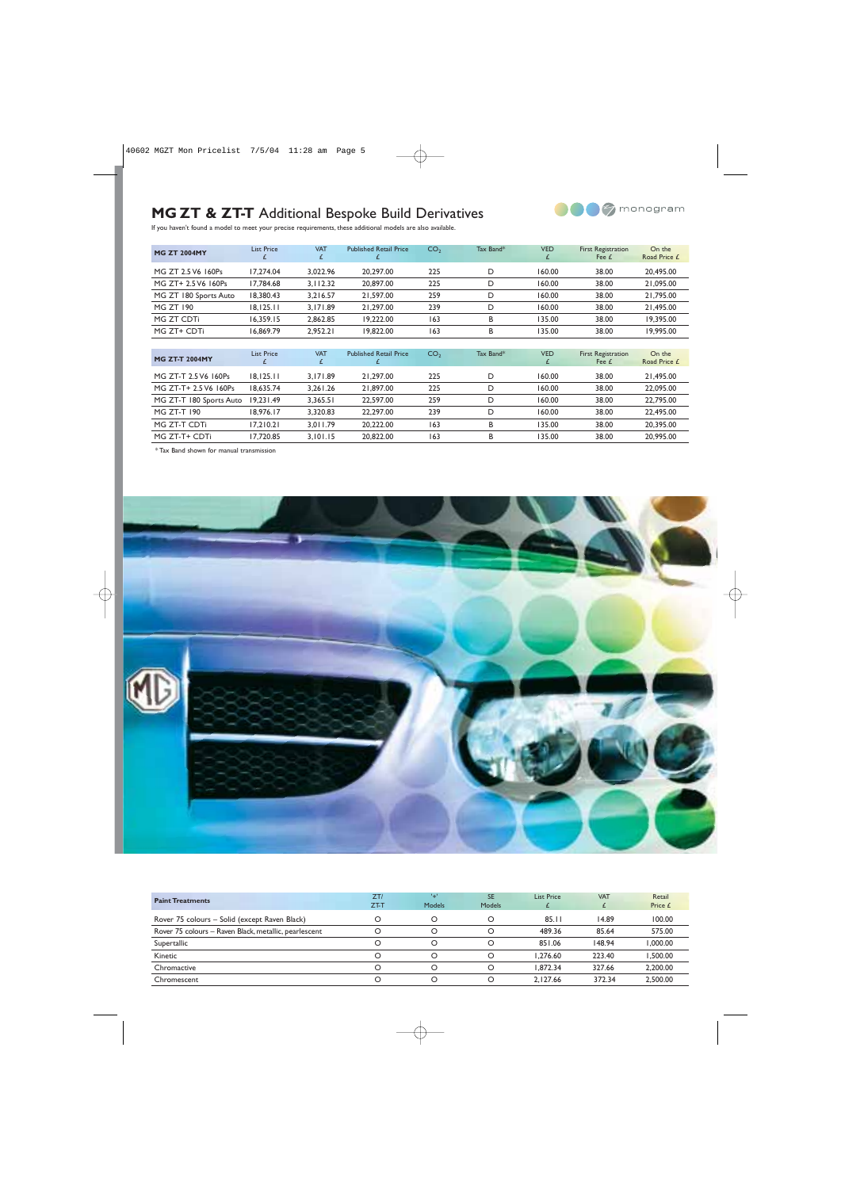### **MG ZT & ZT-T** Additional Bespoke Build Derivatives



If you haven't found a model to meet your precise requirements, these additional models are also available.

| <b>MG ZT 2004MY</b>     | <b>List Price</b><br>£ | <b>VAT</b><br>£ | <b>Published Retail Price</b> | CO <sub>2</sub> | Tax Band* | <b>VED</b><br>£ | <b>First Registration</b><br>Fee £ | On the<br>Road Price £ |
|-------------------------|------------------------|-----------------|-------------------------------|-----------------|-----------|-----------------|------------------------------------|------------------------|
| MG ZT 2.5 V6 160Ps      | 17,274.04              | 3,022.96        | 20,297.00                     | 225             | D         | 160.00          | 38.00                              | 20,495.00              |
| MG ZT+ 2.5 V6 160Ps     | 17,784.68              | 3.112.32        | 20,897.00                     | 225             | D         | 160.00          | 38.00                              | 21,095.00              |
| MG ZT 180 Sports Auto   | 18,380.43              | 3,216.57        | 21,597.00                     | 259             | D         | 160.00          | 38.00                              | 21,795.00              |
| <b>MG ZT 190</b>        | 18, 125.11             | 3,171.89        | 21,297.00                     | 239             | D         | 160.00          | 38.00                              | 21,495.00              |
| MG ZT CDTi              | 16.359.15              | 2.862.85        | 19.222.00                     | 163             | В         | 135.00          | 38.00                              | 19.395.00              |
| MG ZT+ CDTi             | 16,869.79              | 2,952.21        | 19,822.00                     | 163             | В         | 135.00          | 38.00                              | 19,995.00              |
|                         |                        |                 |                               |                 |           |                 |                                    |                        |
| <b>MG ZT-T 2004MY</b>   | <b>List Price</b><br>£ | <b>VAT</b><br>£ | <b>Published Retail Price</b> | CO <sub>2</sub> | Tax Band* | <b>VED</b><br>£ | <b>First Registration</b><br>Fee £ | On the<br>Road Price £ |
| MG ZT-T 2.5 V6 160Ps    | 18, 125.11             | 3,171.89        | 21,297.00                     | 225             | D         | 160.00          | 38.00                              | 21,495.00              |
| MG ZT-T+ 2.5 V6 160Ps   | 18,635.74              | 3,261.26        | 21,897.00                     | 225             | D         | 160.00          | 38.00                              | 22,095.00              |
| MG ZT-T 180 Sports Auto | 19.231.49              | 3,365.51        | 22,597.00                     | 259             | D         | 160.00          | 38.00                              | 22,795.00              |
| MG ZT-T 190             | 18,976.17              | 3,320.83        | 22,297.00                     | 239             | D         | 160.00          | 38.00                              | 22,495.00              |
| MG ZT-T CDTi            | 17,210.21              | 3,011.79        | 20,222.00                     | 163             | В         | 135.00          | 38.00                              | 20,395.00              |
| MG ZT-T+ CDTi           | 17.720.85              | 3.101.15        | 20.822.00                     | 163             | B         | 135.00          | 38.00                              | 20,995.00              |

\* Tax Band shown for manual transmission



| <b>Paint Treatments</b>                               | ZT/  | $^{\prime}$   | <b>SE</b> | <b>List Price</b> | <b>VAT</b> | Retail   |
|-------------------------------------------------------|------|---------------|-----------|-------------------|------------|----------|
|                                                       | ZT-T | <b>Models</b> | Models    |                   |            | Price £  |
| Rover 75 colours – Solid (except Raven Black)         |      |               |           | 85.11             | 14.89      | 100.00   |
| Rover 75 colours – Raven Black, metallic, pearlescent |      |               |           | 489.36            | 85.64      | 575.00   |
| Supertallic                                           | Ω    |               |           | 851.06            | 148.94     | 000.00.  |
| Kinetic                                               | ∩    |               |           | 1.276.60          | 223.40     | .500.00  |
| Chromactive                                           | O    |               |           | 1.872.34          | 327.66     | 2,200.00 |
| Chromescent                                           | ∩    |               |           | 2.127.66          | 372.34     | 2.500.00 |
|                                                       |      |               |           |                   |            |          |